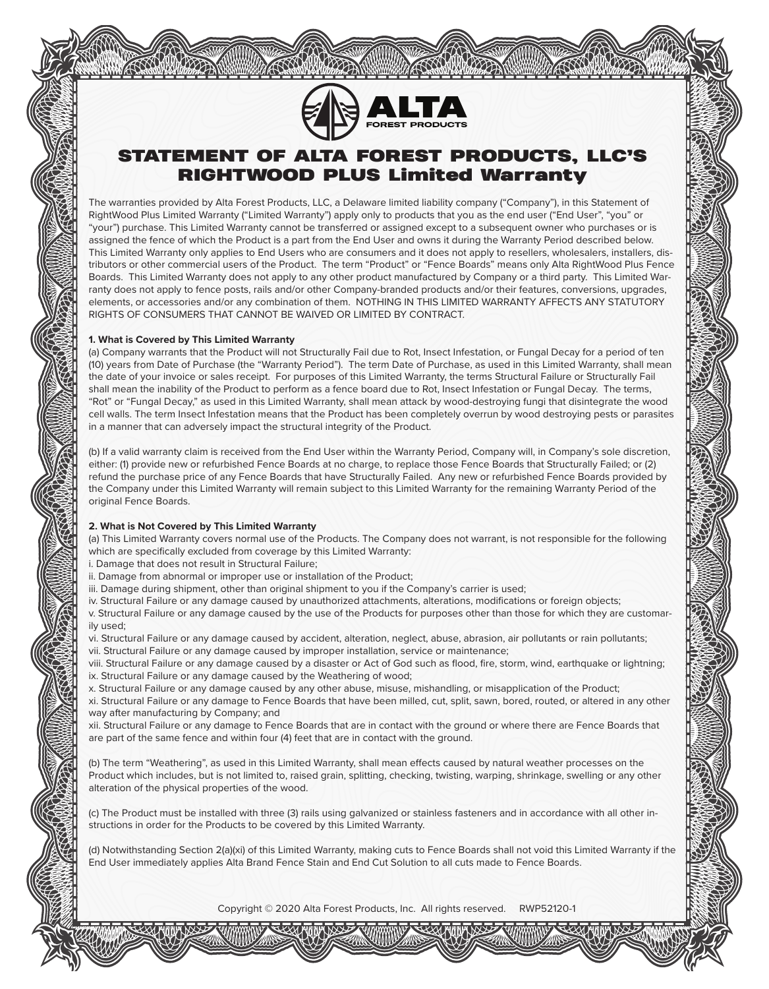

# STATEMENT OF ALTA FOREST PRODUCTS, LLC'S RIGHTWOOD PLUS Limited Warranty

The warranties provided by Alta Forest Products, LLC, a Delaware limited liability company ("Company"), in this Statement of RightWood Plus Limited Warranty ("Limited Warranty") apply only to products that you as the end user ("End User", "you" or "your") purchase. This Limited Warranty cannot be transferred or assigned except to a subsequent owner who purchases or is assigned the fence of which the Product is a part from the End User and owns it during the Warranty Period described below. This Limited Warranty only applies to End Users who are consumers and it does not apply to resellers, wholesalers, installers, distributors or other commercial users of the Product. The term "Product" or "Fence Boards" means only Alta RightWood Plus Fence Boards. This Limited Warranty does not apply to any other product manufactured by Company or a third party. This Limited Warranty does not apply to fence posts, rails and/or other Company-branded products and/or their features, conversions, upgrades, elements, or accessories and/or any combination of them. NOTHING IN THIS LIMITED WARRANTY AFFECTS ANY STATUTORY RIGHTS OF CONSUMERS THAT CANNOT BE WAIVED OR LIMITED BY CONTRACT.

## **1. What is Covered by This Limited Warranty**

(a) Company warrants that the Product will not Structurally Fail due to Rot, Insect Infestation, or Fungal Decay for a period of ten (10) years from Date of Purchase (the "Warranty Period"). The term Date of Purchase, as used in this Limited Warranty, shall mean the date of your invoice or sales receipt. For purposes of this Limited Warranty, the terms Structural Failure or Structurally Fail shall mean the inability of the Product to perform as a fence board due to Rot, Insect Infestation or Fungal Decay. The terms, "Rot" or "Fungal Decay," as used in this Limited Warranty, shall mean attack by wood-destroying fungi that disintegrate the wood cell walls. The term Insect Infestation means that the Product has been completely overrun by wood destroying pests or parasites in a manner that can adversely impact the structural integrity of the Product.

(b) If a valid warranty claim is received from the End User within the Warranty Period, Company will, in Company's sole discretion, either: (1) provide new or refurbished Fence Boards at no charge, to replace those Fence Boards that Structurally Failed; or (2) refund the purchase price of any Fence Boards that have Structurally Failed. Any new or refurbished Fence Boards provided by the Company under this Limited Warranty will remain subject to this Limited Warranty for the remaining Warranty Period of the original Fence Boards.

## **2. What is Not Covered by This Limited Warranty**

(a) This Limited Warranty covers normal use of the Products. The Company does not warrant, is not responsible for the following which are specifically excluded from coverage by this Limited Warranty:

- i. Damage that does not result in Structural Failure;
- ii. Damage from abnormal or improper use or installation of the Product;
- iii. Damage during shipment, other than original shipment to you if the Company's carrier is used;
- iv. Structural Failure or any damage caused by unauthorized attachments, alterations, modifications or foreign objects;
- v. Structural Failure or any damage caused by the use of the Products for purposes other than those for which they are customarily used;
- vi. Structural Failure or any damage caused by accident, alteration, neglect, abuse, abrasion, air pollutants or rain pollutants;
- vii. Structural Failure or any damage caused by improper installation, service or maintenance;

viii. Structural Failure or any damage caused by a disaster or Act of God such as flood, fire, storm, wind, earthquake or lightning; ix. Structural Failure or any damage caused by the Weathering of wood;

x. Structural Failure or any damage caused by any other abuse, misuse, mishandling, or misapplication of the Product;

xi. Structural Failure or any damage to Fence Boards that have been milled, cut, split, sawn, bored, routed, or altered in any other way after manufacturing by Company; and

xii. Structural Failure or any damage to Fence Boards that are in contact with the ground or where there are Fence Boards that are part of the same fence and within four (4) feet that are in contact with the ground.

(b) The term "Weathering", as used in this Limited Warranty, shall mean effects caused by natural weather processes on the Product which includes, but is not limited to, raised grain, splitting, checking, twisting, warping, shrinkage, swelling or any other alteration of the physical properties of the wood.

(c) The Product must be installed with three (3) rails using galvanized or stainless fasteners and in accordance with all other instructions in order for the Products to be covered by this Limited Warranty.

(d) Notwithstanding Section 2(a)(xi) of this Limited Warranty, making cuts to Fence Boards shall not void this Limited Warranty if the End User immediately applies Alta Brand Fence Stain and End Cut Solution to all cuts made to Fence Boards.

Copyright © 2020 Alta Forest Products, Inc. All rights reserved. RWP52120-1